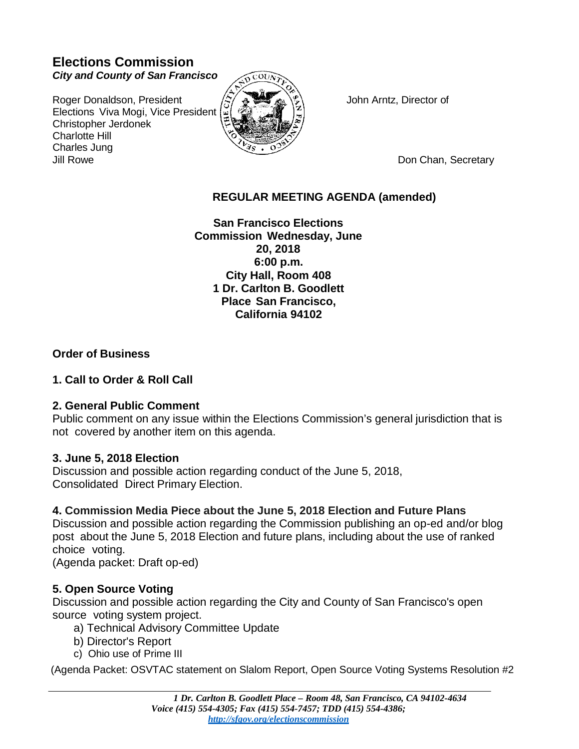## **Elections Commission** *City and County of San Francisco*

Roger Donaldson, President  $\langle z \rangle \approx \langle \hat{z} \rangle$  John Arntz, Director of Elections Viva Mogi, Vice President Christopher Jerdonek Charlotte Hill Charles Jung Jill Rowe Don Chan, Secretary



# **REGULAR MEETING AGENDA (amended)**

**San Francisco Elections Commission Wednesday, June 20, 2018 6:00 p.m. City Hall, Room 408 1 Dr. Carlton B. Goodlett Place San Francisco, California 94102**

## **Order of Business**

## **1. Call to Order & Roll Call**

#### **2. General Public Comment**

Public comment on any issue within the Elections Commission's general jurisdiction that is not covered by another item on this agenda.

## **3. June 5, 2018 Election**

Discussion and possible action regarding conduct of the June 5, 2018, Consolidated Direct Primary Election.

## **4. Commission Media Piece about the June 5, 2018 Election and Future Plans**

Discussion and possible action regarding the Commission publishing an op-ed and/or blog post about the June 5, 2018 Election and future plans, including about the use of ranked choice voting.

(Agenda packet: Draft op-ed)

## **5. Open Source Voting**

Discussion and possible action regarding the City and County of San Francisco's open source voting system project.

- a) Technical Advisory Committee Update
- b) Director's Report
- c) Ohio use of Prime III

(Agenda Packet: OSVTAC statement on Slalom Report, Open Source Voting Systems Resolution #2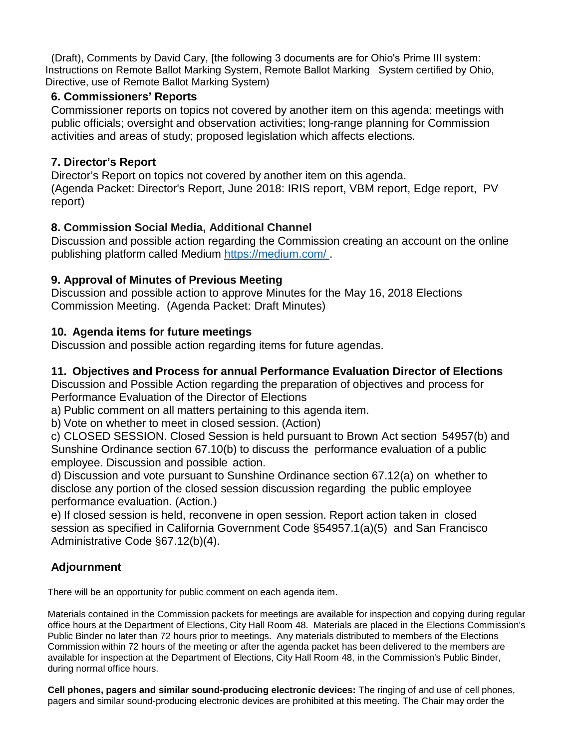(Draft), Comments by David Cary, [the following 3 documents are for Ohio's Prime III system: Instructions on Remote Ballot Marking System, Remote Ballot Marking System certified by Ohio, Directive, use of Remote Ballot Marking System)

#### **6. Commissioners' Reports**

Commissioner reports on topics not covered by another item on this agenda: meetings with public officials; oversight and observation activities; long-range planning for Commission activities and areas of study; proposed legislation which affects elections.

## **7. Director's Report**

Director's Report on topics not covered by another item on this agenda. (Agenda Packet: Director's Report, June 2018: IRIS report, VBM report, Edge report, PV report)

## **8. Commission Social Media, Additional Channel**

Discussion and possible action regarding the Commission creating an account on the online publishing platform called Medium https://medium.com/ .

### **9. Approval of Minutes of Previous Meeting**

Discussion and possible action to approve Minutes for the May 16, 2018 Elections Commission Meeting. (Agenda Packet: Draft Minutes)

### **10. Agenda items for future meetings**

Discussion and possible action regarding items for future agendas.

## **11. Objectives and Process for annual Performance Evaluation Director of Elections**

Discussion and Possible Action regarding the preparation of objectives and process for Performance Evaluation of the Director of Elections

a) Public comment on all matters pertaining to this agenda item.

b) Vote on whether to meet in closed session. (Action)

c) CLOSED SESSION. Closed Session is held pursuant to Brown Act section 54957(b) and Sunshine Ordinance section 67.10(b) to discuss the performance evaluation of a public employee. Discussion and possible action.

d) Discussion and vote pursuant to Sunshine Ordinance section 67.12(a) on whether to disclose any portion of the closed session discussion regarding the public employee performance evaluation. (Action.)

e) If closed session is held, reconvene in open session. Report action taken in closed session as specified in California Government Code §54957.1(a)(5) and San Francisco Administrative Code §67.12(b)(4).

## **Adjournment**

There will be an opportunity for public comment on each agenda item.

Materials contained in the Commission packets for meetings are available for inspection and copying during regular office hours at the Department of Elections, City Hall Room 48. Materials are placed in the Elections Commission's Public Binder no later than 72 hours prior to meetings. Any materials distributed to members of the Elections Commission within 72 hours of the meeting or after the agenda packet has been delivered to the members are available for inspection at the Department of Elections, City Hall Room 48, in the Commission's Public Binder, during normal office hours.

**Cell phones, pagers and similar sound-producing electronic devices:** The ringing of and use of cell phones, pagers and similar sound-producing electronic devices are prohibited at this meeting. The Chair may order the